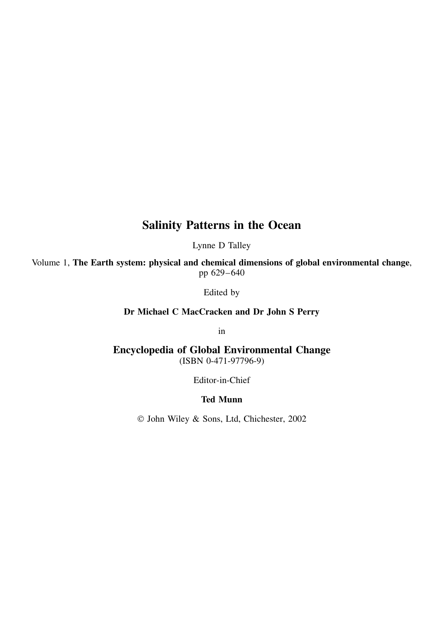## **Salinity Patterns in the Ocean**

Lynne D Talley

Volume 1, **The Earth system: physical and chemical dimensions of global environmental change**, pp 629–640

Edited by

**Dr Michael C MacCracken and Dr John S Perry**

in

**Encyclopedia of Global Environmental Change** (ISBN 0-471-97796-9)

Editor-in-Chief

### **Ted Munn**

John Wiley & Sons, Ltd, Chichester, 2002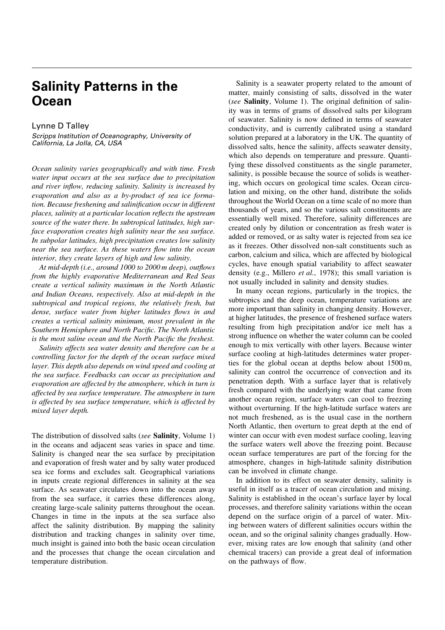# **Salinity Patterns in the Ocean**

#### Lynne D Talley

Scripps Institution of Oceanography, University of California, La Jolla, CA, USA

*Ocean salinity varies geographically and with time. Fresh water input occurs at the sea surface due to precipitation and river inflow, reducing salinity. Salinity is increased by evaporation and also as a by-product of sea ice formation. Because freshening and salinification occur in different places, salinity at a particular location reflects the upstream source of the water there. In subtropical latitudes, high surface evaporation creates high salinity near the sea surface. In subpolar latitudes, high precipitation creates low salinity near the sea surface. As these waters flow into the ocean interior, they create layers of high and low salinity.*

*At mid-depth (i.e., around 1000 to 2000 m deep), outflows from the highly evaporative Mediterranean and Red Seas create a vertical salinity maximum in the North Atlantic and Indian Oceans, respectively. Also at mid-depth in the subtropical and tropical regions, the relatively fresh, but dense, surface water from higher latitudes flows in and creates a vertical salinity minimum, most prevalent in the Southern Hemisphere and North Pacific. The North Atlantic is the most saline ocean and the North Pacific the freshest.*

*Salinity affects sea water density and therefore can be a controlling factor for the depth of the ocean surface mixed layer. This depth also depends on wind speed and cooling at the sea surface. Feedbacks can occur as precipitation and evaporation are affected by the atmosphere, which in turn is affected by sea surface temperature. The atmosphere in turn is affected by sea surface temperature, which is affected by mixed layer depth.*

The distribution of dissolved salts (*see* **Salinity**, Volume 1) in the oceans and adjacent seas varies in space and time. Salinity is changed near the sea surface by precipitation and evaporation of fresh water and by salty water produced sea ice forms and excludes salt. Geographical variations in inputs create regional differences in salinity at the sea surface. As seawater circulates down into the ocean away from the sea surface, it carries these differences along, creating large-scale salinity patterns throughout the ocean. Changes in time in the inputs at the sea surface also affect the salinity distribution. By mapping the salinity distribution and tracking changes in salinity over time, much insight is gained into both the basic ocean circulation and the processes that change the ocean circulation and temperature distribution.

Salinity is a seawater property related to the amount of matter, mainly consisting of salts, dissolved in the water (*see* **Salinity**, Volume 1). The original definition of salinity was in terms of grams of dissolved salts per kilogram of seawater. Salinity is now defined in terms of seawater conductivity, and is currently calibrated using a standard solution prepared at a laboratory in the UK. The quantity of dissolved salts, hence the salinity, affects seawater density, which also depends on temperature and pressure. Quantifying these dissolved constituents as the single parameter, salinity, is possible because the source of solids is weathering, which occurs on geological time scales. Ocean circulation and mixing, on the other hand, distribute the solids throughout the World Ocean on a time scale of no more than thousands of years, and so the various salt constituents are essentially well mixed. Therefore, salinity differences are created only by dilution or concentration as fresh water is added or removed, or as salty water is rejected from sea ice as it freezes. Other dissolved non-salt constituents such as carbon, calcium and silica, which are affected by biological cycles, have enough spatial variability to affect seawater density (e.g., Millero *et al.*, 1978); this small variation is not usually included in salinity and density studies.

In many ocean regions, particularly in the tropics, the subtropics and the deep ocean, temperature variations are more important than salinity in changing density. However, at higher latitudes, the presence of freshened surface waters resulting from high precipitation and/or ice melt has a strong influence on whether the water column can be cooled enough to mix vertically with other layers. Because winter surface cooling at high-latitudes determines water properties for the global ocean at depths below about 1500 m, salinity can control the occurrence of convection and its penetration depth. With a surface layer that is relatively fresh compared with the underlying water that came from another ocean region, surface waters can cool to freezing without overturning. If the high-latitude surface waters are not much freshened, as is the usual case in the northern North Atlantic, then overturn to great depth at the end of winter can occur with even modest surface cooling, leaving the surface waters well above the freezing point. Because ocean surface temperatures are part of the forcing for the atmosphere, changes in high-latitude salinity distribution can be involved in climate change.

In addition to its effect on seawater density, salinity is useful in itself as a tracer of ocean circulation and mixing. Salinity is established in the ocean's surface layer by local processes, and therefore salinity variations within the ocean depend on the surface origin of a parcel of water. Mixing between waters of different salinities occurs within the ocean, and so the original salinity changes gradually. However, mixing rates are low enough that salinity (and other chemical tracers) can provide a great deal of information on the pathways of flow.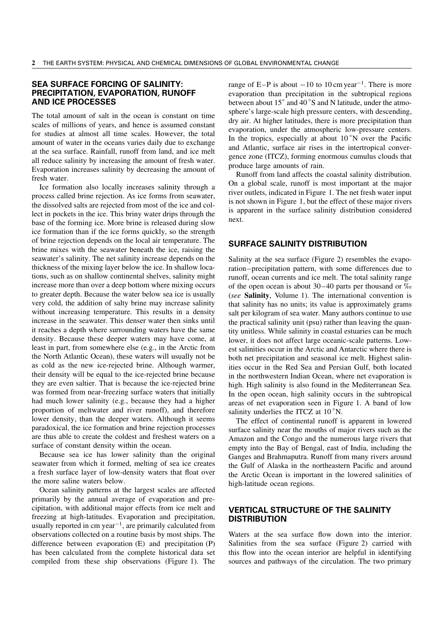#### **SEA SURFACE FORCING OF SALINITY: PRECIPITATION, EVAPORATION, RUNOFF AND ICE PROCESSES**

The total amount of salt in the ocean is constant on time scales of millions of years, and hence is assumed constant for studies at almost all time scales. However, the total amount of water in the oceans varies daily due to exchange at the sea surface. Rainfall, runoff from land, and ice melt all reduce salinity by increasing the amount of fresh water. Evaporation increases salinity by decreasing the amount of fresh water.

Ice formation also locally increases salinity through a process called brine rejection. As ice forms from seawater, the dissolved salts are rejected from most of the ice and collect in pockets in the ice. This briny water drips through the base of the forming ice. More brine is released during slow ice formation than if the ice forms quickly, so the strength of brine rejection depends on the local air temperature. The brine mixes with the seawater beneath the ice, raising the seawater's salinity. The net salinity increase depends on the thickness of the mixing layer below the ice. In shallow locations, such as on shallow continental shelves, salinity might increase more than over a deep bottom where mixing occurs to greater depth. Because the water below sea ice is usually very cold, the addition of salty brine may increase salinity without increasing temperature. This results in a density increase in the seawater. This denser water then sinks until it reaches a depth where surrounding waters have the same density. Because these deeper waters may have come, at least in part, from somewhere else (e.g., in the Arctic from the North Atlantic Ocean), these waters will usually not be as cold as the new ice-rejected brine. Although warmer, their density will be equal to the ice-rejected brine because they are even saltier. That is because the ice-rejected brine was formed from near-freezing surface waters that initially had much lower salinity (e.g., because they had a higher proportion of meltwater and river runoff), and therefore lower density, than the deeper waters. Although it seems paradoxical, the ice formation and brine rejection processes are thus able to create the coldest and freshest waters on a surface of constant density within the ocean.

Because sea ice has lower salinity than the original seawater from which it formed, melting of sea ice creates a fresh surface layer of low-density waters that float over the more saline waters below.

Ocean salinity patterns at the largest scales are affected primarily by the annual average of evaporation and precipitation, with additional major effects from ice melt and freezing at high-latitudes. Evaporation and precipitation, usually reported in  $cm$  year<sup>-1</sup>, are primarily calculated from observations collected on a routine basis by most ships. The difference between evaporation (E) and precipitation (P) has been calculated from the complete historical data set compiled from these ship observations (Figure 1). The

range of E–P is about  $-10$  to 10 cm year<sup>-1</sup>. There is more evaporation than precipitation in the subtropical regions between about 15° and 40 °S and N latitude, under the atmosphere's large-scale high pressure centers, with descending, dry air. At higher latitudes, there is more precipitation than evaporation, under the atmospheric low-pressure centers. In the tropics, especially at about  $10^{\circ}$ N over the Pacific and Atlantic, surface air rises in the intertropical convergence zone (ITCZ), forming enormous cumulus clouds that produce large amounts of rain.

Runoff from land affects the coastal salinity distribution. On a global scale, runoff is most important at the major river outlets, indicated in Figure 1. The net fresh water input is not shown in Figure 1, but the effect of these major rivers is apparent in the surface salinity distribution considered next.

#### **SURFACE SALINITY DISTRIBUTION**

Salinity at the sea surface (Figure 2) resembles the evaporation–precipitation pattern, with some differences due to runoff, ocean currents and ice melt. The total salinity range of the open ocean is about 30–40 parts per thousand or ‰ (*see* **Salinity**, Volume 1). The international convention is that salinity has no units; its value is approximately grams salt per kilogram of sea water. Many authors continue to use the practical salinity unit (psu) rather than leaving the quantity unitless. While salinity in coastal estuaries can be much lower, it does not affect large oceanic-scale patterns. Lowest salinities occur in the Arctic and Antarctic where there is both net precipitation and seasonal ice melt. Highest salinities occur in the Red Sea and Persian Gulf, both located in the northwestern Indian Ocean, where net evaporation is high. High salinity is also found in the Mediterranean Sea. In the open ocean, high salinity occurs in the subtropical areas of net evaporation seen in Figure 1. A band of low salinity underlies the ITCZ at 10<sup>°</sup>N.

The effect of continental runoff is apparent in lowered surface salinity near the mouths of major rivers such as the Amazon and the Congo and the numerous large rivers that empty into the Bay of Bengal, east of India, including the Ganges and Brahmaputra. Runoff from many rivers around the Gulf of Alaska in the northeastern Pacific and around the Arctic Ocean is important in the lowered salinities of high-latitude ocean regions.

#### **VERTICAL STRUCTURE OF THE SALINITY DISTRIBUTION**

Waters at the sea surface flow down into the interior. Salinities from the sea surface (Figure 2) carried with this flow into the ocean interior are helpful in identifying sources and pathways of the circulation. The two primary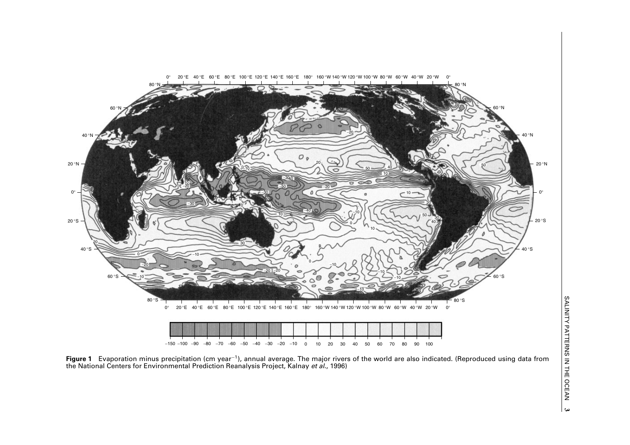

Figure 1 Evaporation minus precipitation (cm year<sup>-1</sup>), annual average. The major rivers of the world are also indicated. (Reproduced using data from the National Centers for Environmental Prediction Reanalysis Project, Kalnay et al., 1996)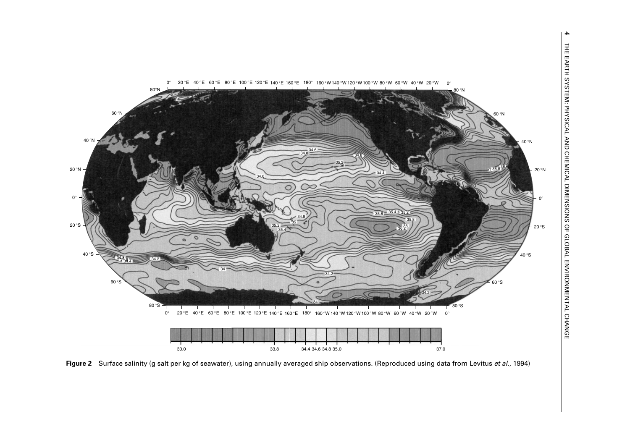

Figure 2 Surface salinity (g salt per kg of seawater), using annually averaged ship observations. (Reproduced using data from Levitus et al., 1994)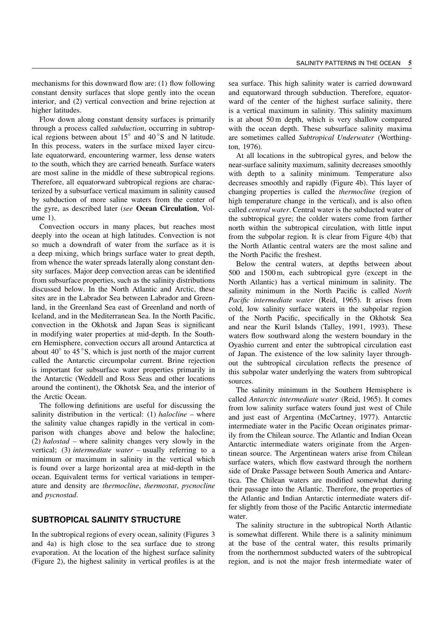mechanisms for this downward flow are: (1) flow following constant density surfaces that slope gently into the ocean interior, and (2) vertical convection and brine rejection at higher latitudes.

Flow down along constant density surfaces is primarily through a process called *subduction*, occurring in subtropical regions between about 15° and 40 °S and N latitude. In this process, waters in the surface mixed layer circulate equatorward, encountering warmer, less dense waters to the south, which they are carried beneath. Surface waters are most saline in the middle of these subtropical regions. Therefore, all equatorward subtropical regions are characterized by a subsurface vertical maximum in salinity caused by subduction of more saline waters from the center of the gyre, as described later (*see* **Ocean Circulation**, Volume 1).

Convection occurs in many places, but reaches most deeply into the ocean at high latitudes. Convection is not so much a downdraft of water from the surface as it is a deep mixing, which brings surface water to great depth, from whence the water spreads laterally along constant density surfaces. Major deep convection areas can be identified from subsurface properties, such as the salinity distributions discussed below. In the North Atlantic and Arctic, these sites are in the Labrador Sea between Labrador and Greenland, in the Greenland Sea east of Greenland and north of Iceland, and in the Mediterranean Sea. In the North Pacific, convection in the Okhotsk and Japan Seas is significant in modifying water properties at mid-depth. In the Southern Hemisphere, convection occurs all around Antarctica at about 40° to 45 °S, which is just north of the major current called the Antarctic circumpolar current. Brine rejection is important for subsurface water properties primarily in the Antarctic (Weddell and Ross Seas and other locations around the continent), the Okhotsk Sea, and the interior of the Arctic Ocean.

The following definitions are useful for discussing the salinity distribution in the vertical: (1) *halocline* – where the salinity value changes rapidly in the vertical in comparison with changes above and below the halocline; (2) *halostad* – where salinity changes very slowly in the vertical; (3) *intermediate water* – usually referring to a minimum or maximum in salinity in the vertical which is found over a large horizontal area at mid-depth in the ocean. Equivalent terms for vertical variations in temperature and density are *thermocline*, *thermostat*, *pycnocline* and *pycnostad*.

#### **SUBTROPICAL SALINITY STRUCTURE**

In the subtropical regions of every ocean, salinity (Figures 3 and 4a) is high close to the sea surface due to strong evaporation. At the location of the highest surface salinity (Figure 2), the highest salinity in vertical profiles is at the sea surface. This high salinity water is carried downward and equatorward through subduction. Therefore, equatorward of the center of the highest surface salinity, there is a vertical maximum in salinity. This salinity maximum is at about 50 m depth, which is very shallow compared with the ocean depth. These subsurface salinity maxima are sometimes called *Subtropical Underwater* (Worthington, 1976).

At all locations in the subtropical gyres, and below the near-surface salinity maximum, salinity decreases smoothly with depth to a salinity minimum. Temperature also decreases smoothly and rapidly (Figure 4b). This layer of changing properties is called the *thermocline* (region of high temperature change in the vertical), and is also often called *central water*. Central water is the subducted water of the subtropical gyre; the colder waters come from farther north within the subtropical circulation, with little input from the subpolar region. It is clear from Figure 4(b) that the North Atlantic central waters are the most saline and the North Pacific the freshest.

Below the central waters, at depths between about 500 and 1500 m, each subtropical gyre (except in the North Atlantic) has a vertical minimum in salinity. The salinity minimum in the North Pacific is called *North Pacific intermediate water* (Reid, 1965). It arises from cold, low salinity surface waters in the subpolar region of the North Pacific, specifically in the Okhotsk Sea and near the Kuril Islands (Talley, 1991, 1993). These waters flow southward along the western boundary in the Oyashio current and enter the subtropical circulation east of Japan. The existence of the low salinity layer throughout the subtropical circulation reflects the presence of this subpolar water underlying the waters from subtropical sources.

The salinity minimum in the Southern Hemisphere is called *Antarctic intermediate water* (Reid, 1965). It comes from low salinity surface waters found just west of Chile and just east of Argentina (McCartney, 1977). Antarctic intermediate water in the Pacific Ocean originates primarily from the Chilean source. The Atlantic and Indian Ocean Antarctic intermediate waters originate from the Argentinean source. The Argentinean waters arise from Chilean surface waters, which flow eastward through the northern side of Drake Passage between South America and Antarctica. The Chilean waters are modified somewhat during their passage into the Atlantic. Therefore, the properties of the Atlantic and Indian Antarctic intermediate waters differ slightly from those of the Pacific Antarctic intermediate water.

The salinity structure in the subtropical North Atlantic is somewhat different. While there is a salinity minimum at the base of the central water, this results primarily from the northernmost subducted waters of the subtropical region, and is not the major fresh intermediate water of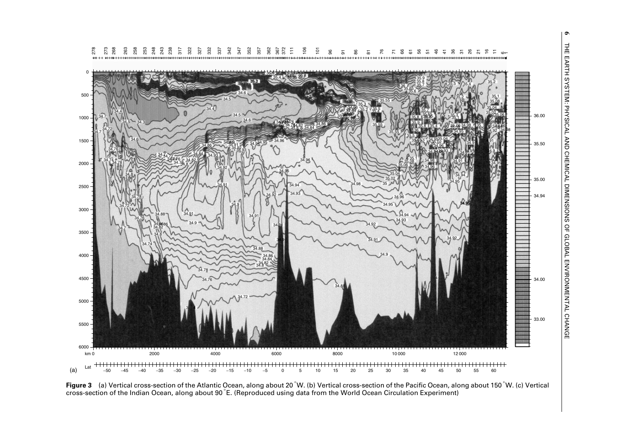

**Figure <sup>3</sup>** (a) Vertical cross-section of the Atlantic Ocean, along about <sup>20</sup> °W. (b) Vertical cross-section of the Pacific Ocean, along about <sup>150</sup> °W. (c) Vertical cross-section of the Indian Ocean, along about <sup>90</sup> °E. (Reproduced using data from the World Ocean Circulation Experiment)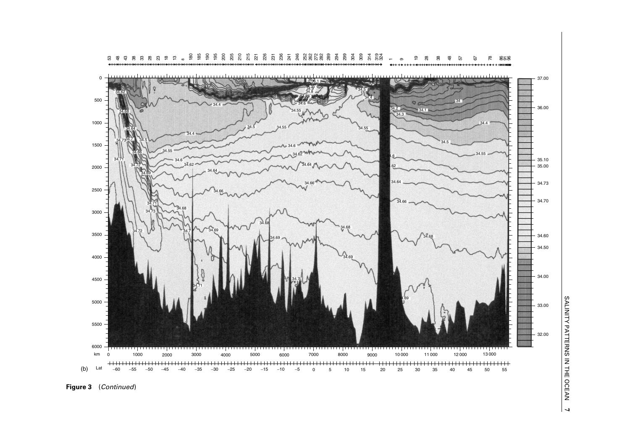

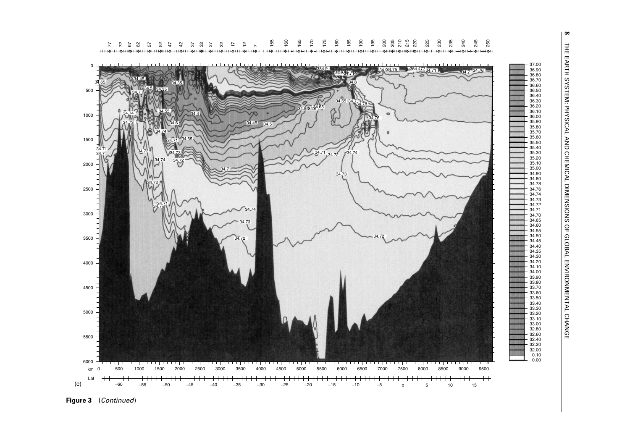



**Figure 3** (Continued)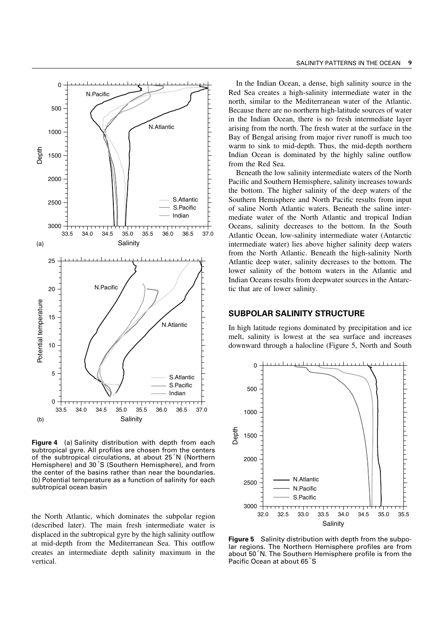

**Figure 4** (a) Salinity distribution with depth from each subtropical gyre. All profiles are chosen from the centers of the subtropical circulations, at about 25 °N (Northern Hemisphere) and 30<sup>°</sup>S (Southern Hemisphere), and from the center of the basins rather than near the boundaries. (b) Potential temperature as a function of salinity for each subtropical ocean basin

the North Atlantic, which dominates the subpolar region (described later). The main fresh intermediate water is displaced in the subtropical gyre by the high salinity outflow at mid-depth from the Mediterranean Sea. This outflow creates an intermediate depth salinity maximum in the vertical.

In the Indian Ocean, a dense, high salinity source in the Red Sea creates a high-salinity intermediate water in the north, similar to the Mediterranean water of the Atlantic. Because there are no northern high-latitude sources of water in the Indian Ocean, there is no fresh intermediate layer arising from the north. The fresh water at the surface in the Bay of Bengal arising from major river runoff is much too warm to sink to mid-depth. Thus, the mid-depth northern Indian Ocean is dominated by the highly saline outflow from the Red Sea.

Beneath the low salinity intermediate waters of the North Pacific and Southern Hemisphere, salinity increases towards the bottom. The higher salinity of the deep waters of the Southern Hemisphere and North Pacific results from input of saline North Atlantic waters. Beneath the saline intermediate water of the North Atlantic and tropical Indian Oceans, salinity decreases to the bottom. In the South Atlantic Ocean, low-salinity intermediate water (Antarctic intermediate water) lies above higher salinity deep waters from the North Atlantic. Beneath the high-salinity North Atlantic deep water, salinity decreases to the bottom. The lower salinity of the bottom waters in the Atlantic and Indian Oceans results from deepwater sources in the Antarctic that are of lower salinity.

#### **SUBPOLAR SALINITY STRUCTURE**

In high latitude regions dominated by precipitation and ice melt, salinity is lowest at the sea surface and increases downward through a halocline (Figure 5, North and South



**Figure 5** Salinity distribution with depth from the subpolar regions. The Northern Hemisphere profiles are from about 50°N. The Southern Hemisphere profile is from the Pacific Ocean at about 65°S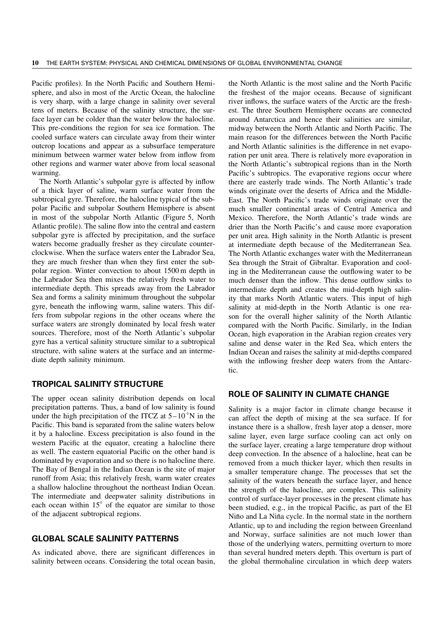Pacific profiles). In the North Pacific and Southern Hemisphere, and also in most of the Arctic Ocean, the halocline is very sharp, with a large change in salinity over several tens of meters. Because of the salinity structure, the surface layer can be colder than the water below the halocline. This pre-conditions the region for sea ice formation. The cooled surface waters can circulate away from their winter outcrop locations and appear as a subsurface temperature minimum between warmer water below from inflow from other regions and warmer water above from local seasonal warming.

The North Atlantic's subpolar gyre is affected by inflow of a thick layer of saline, warm surface water from the subtropical gyre. Therefore, the halocline typical of the subpolar Pacific and subpolar Southern Hemisphere is absent in most of the subpolar North Atlantic (Figure 5, North Atlantic profile). The saline flow into the central and eastern subpolar gyre is affected by precipitation, and the surface waters become gradually fresher as they circulate counterclockwise. When the surface waters enter the Labrador Sea, they are much fresher than when they first enter the subpolar region. Winter convection to about 1500 m depth in the Labrador Sea then mixes the relatively fresh water to intermediate depth. This spreads away from the Labrador Sea and forms a salinity minimum throughout the subpolar gyre, beneath the inflowing warm, saline waters. This differs from subpolar regions in the other oceans where the surface waters are strongly dominated by local fresh water sources. Therefore, most of the North Atlantic's subpolar gyre has a vertical salinity structure similar to a subtropical structure, with saline waters at the surface and an intermediate depth salinity minimum.

#### **TROPICAL SALINITY STRUCTURE**

The upper ocean salinity distribution depends on local precipitation patterns. Thus, a band of low salinity is found under the high precipitation of the ITCZ at  $5-10^{\circ}$ N in the Pacific. This band is separated from the saline waters below it by a halocline. Excess precipitation is also found in the western Pacific at the equator, creating a halocline there as well. The eastern equatorial Pacific on the other hand is dominated by evaporation and so there is no halocline there. The Bay of Bengal in the Indian Ocean is the site of major runoff from Asia; this relatively fresh, warm water creates a shallow halocline throughout the northeast Indian Ocean. The intermediate and deepwater salinity distributions in each ocean within 15° of the equator are similar to those of the adjacent subtropical regions.

#### **GLOBAL SCALE SALINITY PATTERNS**

As indicated above, there are significant differences in salinity between oceans. Considering the total ocean basin, the North Atlantic is the most saline and the North Pacific the freshest of the major oceans. Because of significant river inflows, the surface waters of the Arctic are the freshest. The three Southern Hemisphere oceans are connected around Antarctica and hence their salinities are similar, midway between the North Atlantic and North Pacific. The main reason for the differences between the North Pacific and North Atlantic salinities is the difference in net evaporation per unit area. There is relatively more evaporation in the North Atlantic's subtropical regions than in the North Pacific's subtropics. The evaporative regions occur where there are easterly trade winds. The North Atlantic's trade winds originate over the deserts of Africa and the Middle-East. The North Pacific's trade winds originate over the much smaller continental areas of Central America and Mexico. Therefore, the North Atlantic's trade winds are drier than the North Pacific's and cause more evaporation per unit area. High salinity in the North Atlantic is present at intermediate depth because of the Mediterranean Sea. The North Atlantic exchanges water with the Mediterranean Sea through the Strait of Gibraltar. Evaporation and cooling in the Mediterranean cause the outflowing water to be much denser than the inflow. This dense outflow sinks to intermediate depth and creates the mid-depth high salinity that marks North Atlantic waters. This input of high salinity at mid-depth in the North Atlantic is one reason for the overall higher salinity of the North Atlantic compared with the North Pacific. Similarly, in the Indian Ocean, high evaporation in the Arabian region creates very saline and dense water in the Red Sea, which enters the Indian Ocean and raises the salinity at mid-depths compared with the inflowing fresher deep waters from the Antarctic.

#### **ROLE OF SALINITY IN CLIMATE CHANGE**

Salinity is a major factor in climate change because it can affect the depth of mixing at the sea surface. If for instance there is a shallow, fresh layer atop a denser, more saline layer, even large surface cooling can act only on the surface layer, creating a large temperature drop without deep convection. In the absence of a halocline, heat can be removed from a much thicker layer, which then results in a smaller temperature change. The processes that set the salinity of the waters beneath the surface layer, and hence the strength of the halocline, are complex. This salinity control of surface-layer processes in the present climate has been studied, e.g., in the tropical Pacific, as part of the El Niño and La Niña cycle. In the normal state in the northern Atlantic, up to and including the region between Greenland and Norway, surface salinities are not much lower than those of the underlying waters, permitting overturn to more than several hundred meters depth. This overturn is part of the global thermohaline circulation in which deep waters